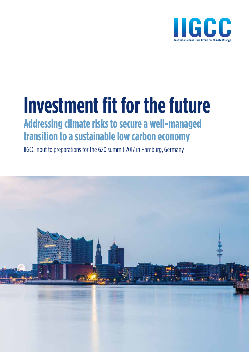

# **Investment fit for the future**

### **Addressing climate risks to secure a well-managed transition to a sustainable low carbon economy**

IIGCC input to preparations for the G20 summit 2017 in Hamburg, Germany

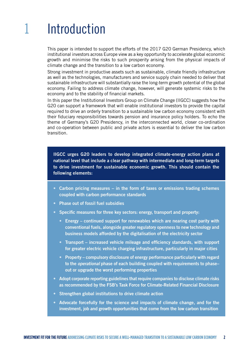## 1 Introduction

This paper is intended to support the efforts of the 2017 G20 German Presidency, which institutional investors across Europe view as a key opportunity to accelerate global economic growth and minimise the risks to such prosperity arising from the physical impacts of climate change and the transition to a low carbon economy.

Strong investment in productive assets such as sustainable, climate friendly infrastructure as well as the technologies, manufacturers and service supply chain needed to deliver that sustainable infrastructure will substantially raise the long-term growth potential of the global economy. Failing to address climate change, however, will generate systemic risks to the economy and to the stability of financial markets.

In this paper the Institutional Investors Group on Climate Change (IIGCC) suggests how the G20 can support a framework that will enable institutional investors to provide the capital required to drive an orderly transition to a sustainable low carbon economy consistent with their fiduciary responsibilities towards pension and insurance policy holders. To echo the theme of Germany's G20 Presidency, in the interconnected world, closer co-ordination and co-operation between public and private actors is essential to deliver the low carbon transition.

IIGCC urges G20 leaders to develop integrated climate-energy action plans at national level that include a clear pathway with intermediate and long-term targets to drive investment for sustainable economic growth. This should contain the following elements:

- Carbon pricing measures in the form of taxes or emissions trading schemes coupled with carbon performance standards
- • Phase out of fossil fuel subsidies
- Specific measures for three key sectors: energy, transport and property:
	- Energy continued support for renewables which are nearing cost parity with conventional fuels, alongside greater regulatory openness to new technology and business models afforded by the digitalisation of the electricity sector
	- Transport increased vehicle mileage and efficiency standards, with support for greater electric vehicle charging infrastructure, particularly in major cities
	- Property compulsory disclosure of energy performance particularly with regard to the *operational* phase of each building coupled with requirements to phase– out or upgrade the worst performing properties
- • Adopt corporate reporting guidelines that require companies to disclose climate risks as recommended by the FSB's Task Force for Climate-Related Financial Disclosure
- Strengthen global institutions to drive climate action
- • Advocate forcefully for the science and impacts of climate change, and for the investment, job and growth opportunities that come from the low carbon transition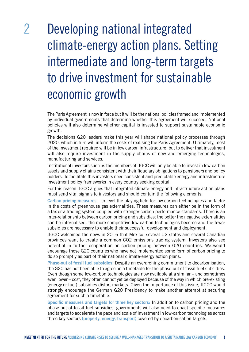### 2 Developing national integrated climate-energy action plans. Setting intermediate and long-term targets to drive investment for sustainable economic growth

The Paris Agreement is now in force but it will be the national policies framed and implemented by individual governments that determine whether this agreement will succeed. National policies will also determine whether capital is invested to support sustainable economic growth.

The decisions G20 leaders make this year will shape national policy processes through 2020, which in turn will inform the costs of realising the Paris Agreement. Ultimately, most of the investment required will be in low carbon infrastructure, but to deliver that investment will also require investment in the supply chains of new and emerging technologies, manufacturing and services.

Institutional investors such as the members of IIGCC will only be able to invest in low-carbon assets and supply chains consistent with their fiduciary obligations to pensioners and policy holders. To facilitate this investors need consistent and predictable energy and infrastructure investment policy frameworks in every country seeking capital.

For this reason IIGCC argues that integrated climate-energy and infrastructure action plans must send vital signals to investors and should contain the following elements:

Carbon pricing measures – to level the playing field for low carbon technologies and factor in the costs of greenhouse gas externalities. These measures can either be in the form of a tax or a trading system coupled with stronger carbon performance standards. There is an inter-relationship between carbon pricing and subsidies: the better the negative externalities can be internalised, the more competitive low-carbon technologies become and the fewer subsidies are necessary to enable their successful development and deployment.

IIGCC welcomed the news in 2016 that Mexico, several US states and several Canadian provinces want to create a common CO2 emissions trading system. Investors also see potential in further cooperation on carbon pricing between G20 countries. We would encourage those G20 countries who have not implemented some form of carbon pricing to do so promptly as part of their national climate-energy action plans.

Phase-out of fossil fuel subsidies: Despite an overarching commitment to decarbonisation, the G20 has not been able to agree on a timetable for the phase-out of fossil fuel subsidies. Even though some low-carbon technologies are now available at a similar – and sometimes even lower – cost, they often cannot yet be deployed because of the way in which pre-existing (energy or fuel) subsidies distort markets. Given the importance of this issue, IIGCC would strongly encourage the German G20 Presidency to make another attempt at securing agreement for such a timetable.

Specific measures and targets for three key sectors: In addition to carbon pricing and the phase-out of fossil fuel subsidies, governments will also need to enact specific measures and targets to accelerate the pace and scale of investment in low-carbon technologies across three key sectors (property, energy, transport) covered by decarbonisation targets.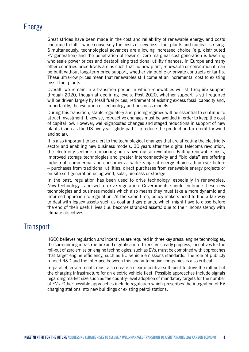#### Energy

Great strides have been made in the cost and reliability of renewable energy, and costs continue to fall – while conversely the costs of new fossil fuel plants and nuclear is rising. Simultaneously, technological advances are allowing increased choice (e.g. distributed PV generation) and the penetration of lower or zero marginal cost generation is lowering wholesale power prices and destabilising traditional utility finances. In Europe and many other countries price levels are as such that no new plant, renewable or conventional, can be built without long-term price support, whether via public or private contracts or tariffs. These ultra-low prices mean that renewables still come at an incremental cost to existing fossil fuel plants.

Overall, we remain in a transition period in which renewables will still require support through 2020, though at declining levels. Post 2020, whether support is still required will be driven largely by fossil fuel prices, retirement of existing excess fossil capacity and, importantly, the evolution of technology and business models.

During this transition, stable regulatory and pricing regimes will be essential to continue to attract investment. Likewise, retroactive changes must be avoided in order to keep the cost of capital low. However, well-signposted changes and staged reductions in support of new plants (such as the US five year "glide path" to reduce the production tax credit for wind and solar).

It is also important to be alert to the technological changes that are affecting the electricity sector and enabling new business models. 30 years after the digital telecoms revolution, the electricity sector is embarking on its own digital revolution. Falling renewable costs, improved storage technologies and greater interconnectivity and "bid data" are offering industrial, commercial and consumers a wider range of energy choices than ever before – purchases from traditional utilities, direct purchases from renewable energy projects or on-site self-generation using wind, solar, biomass or storage.

In the past, regulation has been used to drive technology, especially in renewables. Now technology is poised to drive regulation. Governments should embrace these new technologies and business models which also means they must take a more dynamic and informed approach to regulation. At the same time, policy-makers need to find a fair way to deal with legacy assets such as coal and gas plants, which might have to close before the end of their useful lives (i.e. become stranded assets) due to their inconsistency with climate objectives.

#### **Transport**

IIGCC believes regulation *and* incentives are required in three key areas: engine technologies, the surrounding infrastructure and digitalisation. To ensure steady progress, incentives for the roll-out of zero emission engine technologies, such as EVs, must be combined with approaches that target engine efficiency, such as EU vehicle emissions standards. The role of publicly funded R&D and the interface between this and automotive companies is also critical.

In parallel, governments must also create a clear incentive sufficient to drive the roll-out of the charging infrastructure for an electric vehicle fleet. Possible approaches include signals regarding market size such as the country-level adoption of mandatory targets for the number of EVs. Other possible approaches include regulation which prescribes the integration of EV charging stations into new buildings or existing petrol stations.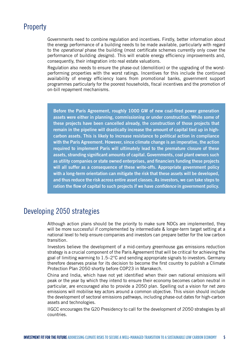#### **Property**

Governments need to combine regulation and incentives. Firstly, better information about the energy performance of a building needs to be made available, particularly with regard to the *operational* phase the building (most certificate schemes currently only cover the performance of building *designs*). This will enable energy efficiency improvements and, consequently, their integration into real estate valuations.

Regulation also needs to ensure the phase-out (demolition) or the upgrading of the worstperforming properties with the worst ratings. Incentives for this include the continued availability of energy efficiency loans from promotional banks, government support programmes particularly for the poorest households, fiscal incentives and the promotion of on-bill repayment mechanisms.

Before the Paris Agreement, roughly 1000 GW of new coal-fired power generation assets were either in planning, commissioning or under construction. While some of these projects have been cancelled already, the construction of those projects that remain in the pipeline will drastically increase the amount of capital tied up in highcarbon assets. This is likely to increase resistance to political action in compliance with the Paris Agreement. However, since climate change is an imperative, the action required to implement Paris will ultimately lead to the premature closure of these assets, stranding significant amounts of capital. Governments, coal plant owners such as utility companies or state owned enterprises, and financiers funding these projects will all suffer as a consequence of these write-offs. Appropriate government policy with a long-term orientation can mitigate the risk that these assets will be developed, and thus reduce the risk across entire asset classes. As investors, we can take steps to ration the flow of capital to such projects if we have *confidence* in government policy.

#### Developing 2050 strategies

Although action plans should be the priority to make sure NDCs are implemented, they will be more successful if complemented by intermediate & longer-term target setting at a national level to help ensure companies and investors can prepare better for the low carbon transition.

Investors believe the development of a mid-century greenhouse gas emissions reduction strategy is a crucial component of the Paris Agreement that will be critical for achieving the goal of limiting warming to 1.5–2°C and sending appropriate signals to investors. Germany therefore deserves praise for its decision to become the first country to publish a Climate Protection Plan 2050 shortly before COP23 in Marrakech.

China and India, which have not yet identified when their own national emissions will peak or the year by which they intend to ensure their economy becomes carbon neutral in particular, are encouraged also to provide a 2050 plan. Spelling out a vision for net zero emissions will mobilise key actors around a common objective. This vision should include the development of sectoral emissions pathways, including phase-out dates for high-carbon assets and technologies.

IIGCC encourages the G20 Presidency to call for the development of 2050 strategies by all countries.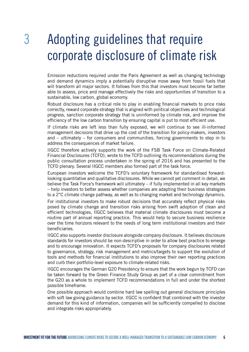### 3 Adopting guidelines that require corporate disclosure of climate risk

Emission reductions required under the Paris Agreement as well as changing technology and demand dynamics imply a potentially disruptive move away from fossil fuels that will transform all major sectors. It follows from this that investors must become far better able to assess, price and manage effectively the risks and opportunities of transition to a sustainable, low carbon, global economy.

Robust disclosure has a critical role to play in enabling financial markets to price risks correctly, reward corporate strategy that is aligned with political objectives and technological progress, sanction corporate strategy that is uninformed by climate risk, and improve the efficiency of the low carbon transition by ensuring capital is put to most efficient use.

If climate risks are left less than fully exposed, we will continue to see ill-informed management decisions that drive up the cost of the transition for policy-makers, investors and – ultimately – for consumers and communities, forcing governments to step in to address the consequences of market failure.

IIGCC therefore actively supports the work of the FSB Task Force on Climate-Related Financial Disclosures (TCFD), wrote to the TCFD outlining its recommendations during the public consultation process undertaken in the spring of 2016 and has presented to the TCFD plenary. Several IIGCC members also formed part of the task force.

European investors welcome the TCFD's voluntary framework for standardised forwardlooking quantitative and qualitative disclosures. While we cannot yet comment in detail, we believe the Task Force's framework will ultimately – if fully implemented in all key markets – help investors to better assess whether companies are adapting their business strategies to a 2°C climate change pathway, as well as to changing market and technology dynamics.

For institutional investors to make robust decisions that accurately reflect physical risks posed by climate change and transition risks arising from swift adoption of clean and efficient technologies, IIGCC believes that material climate disclosures must become a routine part of annual reporting practice. This would help to secure business resilience over the time horizons relevant to the needs of long term institutional investors and their beneficiaries.

IIGCC also supports investor disclosure alongside company disclosure. It believes disclosure standards for investors should be non-descriptive in order to allow best practice to emerge and to encourage innovation. It expects TCFD's proposals for company disclosures related to governance, strategy, risk management and metrics/targets to support the evolution of tools and methods for financial institutions to also improve their own reporting practices and curb their portfolio-level exposure to climate-related risks.

IIGCC encourages the German G20 Presidency to ensure that the work begun by TCFD can be taken forward by the Green Finance Study Group as part of a clear commitment from the G20 as a whole to implement TCFD recommendations in full and under the shortest possible timeframe.

One possible approach would combine hard law spelling out general disclosure principles with soft law giving guidance by sector. IIGCC is confident that combined with the investor demand for this kind of information, companies will be sufficiently compelled to disclose and integrate risks appropriately.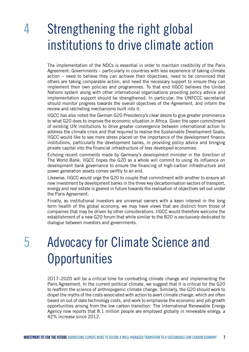### 4 Strengthening the right global institutions to drive climate action

The implementation of the NDCs is essential in order to maintain credibility of the Paris Agreement. Governments – particularly in countries with less experience of taking climate action – need to believe they can achieve their objectives, need to be convinced that others are taking comparable action, and need the necessary support to ensure they can implement their own policies and programmes. To that end IIGCC believes the United Nations system along with other international organisations providing policy advice and implementation support should be strengthened. In particular, the UNFCCC secretariat should monitor progress towards the overall objectives of the Agreement, and inform the review and ratcheting mechanisms built into it.

IIGCC has also noted the German G20 Presidency's clear desire to give greater prominence to what G20 does to improve the economic situation in Africa. Given the open commitment of existing UN institutions to drive greater convergence between international action to address the climate crisis and that required to realise the Sustainable Development Goals, IIGCC would like to see more stress placed on the importance of the development finance institutions, particularly the development banks, in providing policy advice and bringing private capital into the financial infrastructure of less developed economies.

Echoing recent comments made by Germany's development minister in the direction of The World Bank, IIGCC hopes the G20 as a whole will commit to using its influence on development bank governance to ensure the financing of high-carbon infrastructure and power generation assets comes swiftly to an end.

Likewise, IIGCC would urge the G20 to couple that commitment with another to ensure all new investment by development banks in the three key decarbonisation sectors of transport, energy and real estate is geared in future towards the realisation of objectives set out under the Paris Agreement.

Finally, as institutional investors are universal owners with a keen interest in the long term health of the global economy, we may have views that are distinct from those of companies that may be driven by other considerations. IIGCC would therefore welcome the establishment of a new G20 forum that while similar to the B20 is *exclusively* dedicated to dialogue between investors and governments.

### 5 Advocacy for Climate Science and **Opportunities**

2017–2020 will be a critical time for combatting climate change and implementing the Paris Agreement. In the current political climate, we suggest that it is critical for the G20 to reaffirm the science of anthropogenic climate change. Similarly, the G20 should work to dispel the myths of the costs associated with action to avert climate change, which are often based on out of date technology costs, and work to emphasise the economic and job growth opportunities arising from the low carbon transition. The International Renewable Energy Agency now reports that 8.1 million people are employed globally in renewable energy, a 42% increase since 2012.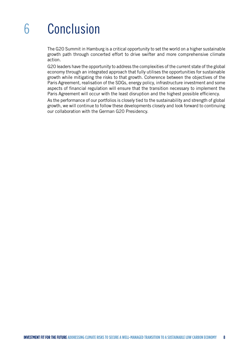## 6 Conclusion

The G20 Summit in Hamburg is a critical opportunity to set the world on a higher sustainable growth path through concerted effort to drive swifter and more comprehensive climate action.

G20 leaders have the opportunity to address the complexities of the current state of the global economy through an integrated approach that fully utilises the opportunities for sustainable growth while mitigating the risks to that growth. Coherence between the objectives of the Paris Agreement, realisation of the SDGs, energy policy, infrastructure investment and some aspects of financial regulation will ensure that the transition necessary to implement the Paris Agreement will occur with the least disruption and the highest possible efficiency.

As the performance of our portfolios is closely tied to the sustainability and strength of global growth, we will continue to follow these developments closely and look forward to continuing our collaboration with the German G20 Presidency.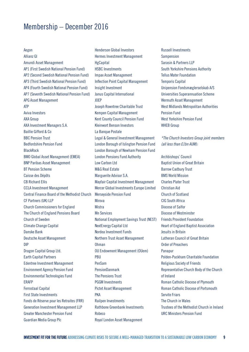#### Membership – December 2016

#### Aegon

Allianz GI Amundi Asset Management AP1 (First Swedish National Pension Fund) AP2 (Second Swedish National Pension Fund) AP3 (Third Swedish National Pension Fund) AP4 (Fourth Swedish National Pension Fund) AP7 (Seventh Swedish National Pension Fund) APG Asset Management ATP Aviva Investors AXA Group AXA Investment Managers S.A. Baillie Gifford & Co BBC Pension Trust Bedfordshire Pension Fund BlackRock BMO Global Asset Management (EMEA) BNP Paribas Asset Management BT Pension Scheme Caisse des Dépôts CB Richard Ellis CCLA Investment Management Central Finance Board of the Methodist Church CF Partners (UK) LLP Church Commissioners for England The Church of England Pensions Board Church of Sweden Climate Change Capital Danske Bank Deutsche Asset Management DIP Dragon Capital Group Ltd. Earth Capital Partners Edentree Investment Management Environment Agency Pension Fund Environmental Technologies Fund ERAFP Ferrostaal Capital First State Investments Fonds de Réserve pour les Retraites (FRR) Generation Investment Management LLP Greater Manchester Pension Fund Guardian Media Group Plc

Henderson Global Investors Hermes Investment Management **HgCapital** HSBC Investments Impax Asset Management Inflection Point Capital Management Insight Investment Janus Capital International JOEP Joseph Rowntree Charitable Trust Kempen Capital Management Kent County Council Pension Fund Kleinwort Benson Investors La Banque Postale Legal & General Investment Management London Borough of Islington Pension Fund London Borough of Newham Pension Fund London Pensions Fund Authority Low Carbon Ltd M&G Real Estate Marguerite Advisor S.A. Mayfair Capital Investment Management Mercer Global Investments Europe Limited Merseyside Pension Fund Mirova **Mistra** Mn Services National Employment Savings Trust (NEST) NextEnergy Capital Ltd Nordea Investment Funds Northern Trust Asset Management Ohman OU Endowment Management (OUem) PBU PenSam PensionDanmark The Pensions Trust PGGM Investments Pictet Asset Management **PKA** Railpen Investments Rathbone Greenbank Investments Robeco Royal London Asset Management

Russell Investments **Sampension** Sarasin & Partners LLP South Yorkshire Pensions Authority Tellus Mater Foundation Temporis Capital Unipension Fondsmæglerselskab A/S Universities Superannuation Scheme Wermuth Asset Management West Midlands Metropolitan Authorities Pension Fund West Yorkshire Pension Fund WHEB Group

*\*The Church Investors Group joint members (all less than £1bn AUM):*

Archbishops' Council Baptist Union of Great Britain Barrow Cadbury Trust BMS World Mission Charles Plater Trust Christian Aid Church of Scotland CIG South Africa Diocese of Salfor Diocese of Westminster Friends Provident Foundation Heart of England Baptist Association Jesuits in Britain Lutheran Council of Great Britain Order of Preachers Panapur Polden-Puckham Charitable Foundation Religious Society of Friends Representative Church Body of the Church of Ireland Roman Catholic Diocese of Plymouth Roman Catholic Diocese of Portsmouth Servite Friars The Church in Wales Trustees of the Methodist Church in Ireland URC Ministers Pension Fund